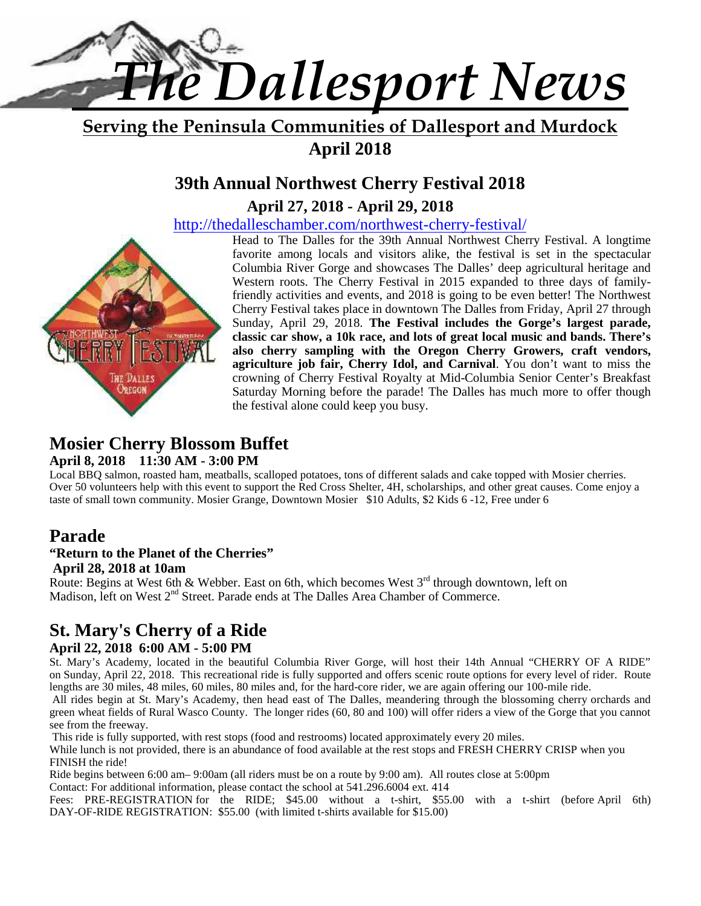

**Serving the Peninsula Communities of Dallesport and Murdock April 2018**

## **39th Annual Northwest Cherry Festival 2018**

**April 27, 2018 - April 29, 2018**

http://thedalleschamber.com/northwest-cherry-festival/



Head to The Dalles for the 39th Annual Northwest Cherry Festival. A longtime favorite among locals and visitors alike, the festival is set in the spectacular Columbia River Gorge and showcases The Dalles' deep agricultural heritage and Western roots. The Cherry Festival in 2015 expanded to three days of familyfriendly activities and events, and 2018 is going to be even better! The Northwest Cherry Festival takes place in downtown The Dalles from Friday, April 27 through Sunday, April 29, 2018. **The Festival includes the Gorge's largest parade, classic car show, a 10k race, and lots of great local music and bands. There's also cherry sampling with the Oregon Cherry Growers, craft vendors, agriculture job fair, Cherry Idol, and Carnival**. You don't want to miss the crowning of Cherry Festival Royalty at Mid-Columbia Senior Center's Breakfast Saturday Morning before the parade! The Dalles has much more to offer though the festival alone could keep you busy.

## **Mosier Cherry Blossom Buffet**

## **April 8, 2018 11:30 AM - 3:00 PM**

Local BBQ salmon, roasted ham, meatballs, scalloped potatoes, tons of different salads and cake topped with Mosier cherries. Over 50 volunteers help with this event to support the Red Cross Shelter, 4H, scholarships, and other great causes. Come enjoy a taste of small town community. Mosier Grange, Downtown Mosier \$10 Adults, \$2 Kids 6 -12, Free under 6

## **Parade**

## **"Return to the Planet of the Cherries"**

## **April 28, 2018 at 10am**

Route: Begins at West 6th & Webber. East on 6th, which becomes West  $3<sup>rd</sup>$  through downtown, left on Madison, left on West 2<sup>nd</sup> Street. Parade ends at The Dalles Area Chamber of Commerce.

## **St. Mary's Cherry of a Ride**

## **April 22, 2018 6:00 AM - 5:00 PM**

St. Mary's Academy, located in the beautiful Columbia River Gorge, will host their 14th Annual "CHERRY OF A RIDE" on Sunday, April 22, 2018. This recreational ride is fully supported and offers scenic route options for every level of rider. Route lengths are 30 miles, 48 miles, 60 miles, 80 miles and, for the hard-core rider, we are again offering our 100-mile ride.

All rides begin at St. Mary's Academy, then head east of The Dalles, meandering through the blossoming cherry orchards and green wheat fields of Rural Wasco County. The longer rides (60, 80 and 100) will offer riders a view of the Gorge that you cannot see from the freeway.

This ride is fully supported, with rest stops (food and restrooms) located approximately every 20 miles.

While lunch is not provided, there is an abundance of food available at the rest stops and FRESH CHERRY CRISP when you FINISH the ride!

Ride begins between 6:00 am– 9:00am (all riders must be on a route by 9:00 am). All routes close at 5:00pm

Contact: For additional information, please contact the school at 541.296.6004 ext. 414

Fees: PRE-REGISTRATION for the RIDE; \$45.00 without a t-shirt, \$55.00 with a t-shirt (before April 6th) DAY-OF-RIDE REGISTRATION: \$55.00 (with limited t-shirts available for \$15.00)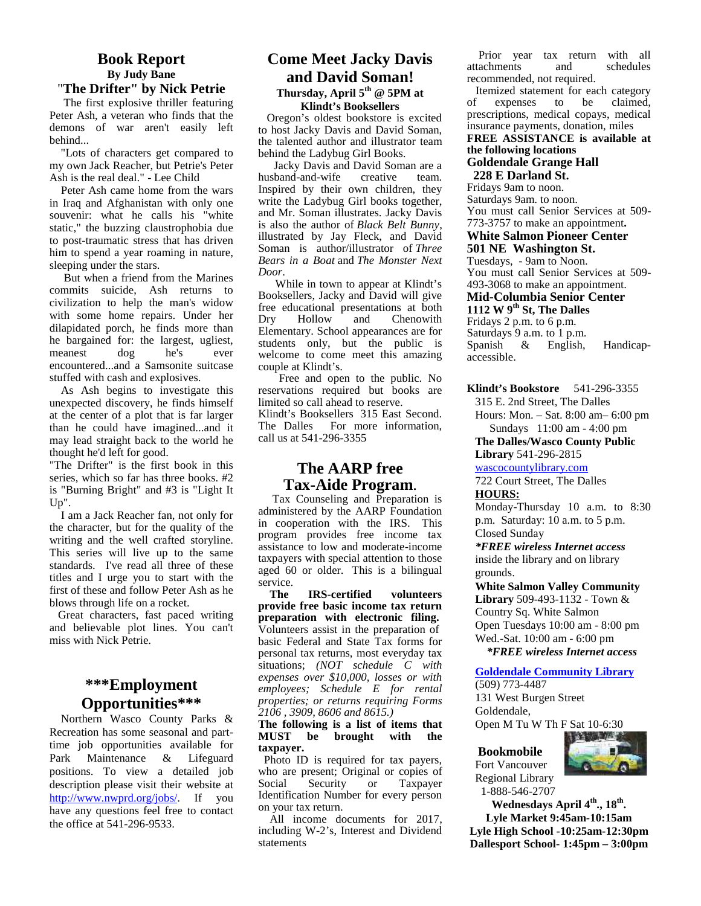#### **Book Report By Judy Bane** "**The Drifter" by Nick Petrie**

 The first explosive thriller featuring Peter Ash, a veteran who finds that the demons of war aren't easily left behind...

 "Lots of characters get compared to my own Jack Reacher, but Petrie's Peter Ash is the real deal." - Lee Child

 Peter Ash came home from the wars in Iraq and Afghanistan with only one souvenir: what he calls his "white static," the buzzing claustrophobia due to post-traumatic stress that has driven him to spend a year roaming in nature, sleeping under the stars.

 But when a friend from the Marines commits suicide, Ash returns to civilization to help the man's widow with some home repairs. Under her Dry dilapidated porch, he finds more than he bargained for: the largest, ugliest, meanest dog he's ever encountered...and a Samsonite suitcase stuffed with cash and explosives.

 As Ash begins to investigate this unexpected discovery, he finds himself at the center of a plot that is far larger Klindt's Book<br>than he could have imagined and it The Dalles than he could have imagined...and it may lead straight back to the world he thought he'd left for good.

"The Drifter" is the first book in this series, which so far has three books. #2 is "Burning Bright" and #3 is "Light It Up".

 I am a Jack Reacher fan, not only for the character, but for the quality of the writing and the well crafted storyline. This series will live up to the same standards. I've read all three of these titles and I urge you to start with the first of these and follow Peter Ash as he blows through life on a rocket.

 Great characters, fast paced writing and believable plot lines. You can't miss with Nick Petrie.

## **\*\*\*Employment Opportunities\*\*\***

 Northern Wasco County Parks & Recreation has some seasonal and part-Recreation has some seasonal and part-<br>time job opportunities available for taxname Park Maintenance & Lifeguard positions. To view a detailed job description please visit their website at http://www.nwprd.org/jobs/. If you have any questions feel free to contact the office at 541-296-9533.

## **Come Meet Jacky Davis and David Soman!**

#### **Thursday, April 5th @ 5PM at Klindt's Booksellers**

Oregon's oldest bookstore is excited to host Jacky Davis and David Soman, the talented author and illustrator team behind the Ladybug Girl Books.

Jacky Davis and David Soman are a husband-and-wife creative team. Inspired by their own children, they write the Ladybug Girl books together, and Mr. Soman illustrates. Jacky Davis is also the author of *Black Belt Bunny*, illustrated by Jay Fleck, and David Soman is author/illustrator of *Three Bears in a Boat* and *The Monster Next Door*.

While in town to appear at Klindt's Booksellers, Jacky and David will give free educational presentations at both Hollow and Chenowith Elementary. School appearances are for students only, but the public is Spanish welcome to come meet this amazing couple at Klindt's.

Free and open to the public. No reservations required but books are limited so call ahead to reserve. Klindt's Booksellers 315 East Second.

For more information. call us at 541-296-3355

## **The AARP free Tax-Aide Program**.

 Tax Counseling and Preparation is administered by the AARP Foundation in cooperation with the IRS. This program provides free income tax assistance to low and moderate-income taxpayers with special attention to those aged 60 or older. This is a bilingual service.

**The IRS-certified volunteers provide free basic income tax return preparation with electronic filing.** Volunteers assist in the preparation of basic Federal and State Tax forms for personal tax returns, most everyday tax situations; *(NOT schedule C with expenses over \$10,000, losses or with employees; Schedule E for rental properties; or returns requiring Forms 2106 , 3909, 8606 and 8615.)*

#### **The following is a list of items that** be brought with the **taxpayer.**

Photo ID is required for tax payers, who are present; Original or copies of Social Security or Taxpayer Identification Number for every person on your tax return.

 All income documents for 2017, including W-2's, Interest and Dividend statements

Prior year tax return with all attachments and schedules recommended, not required.

Itemized statement for each category of expenses to be claimed, prescriptions, medical copays, medical insurance payments, donation, miles **FREE ASSISTANCE is available at**

#### **the following locations Goldendale Grange Hall 228 E Darland St.**

Fridays 9am to noon.

Saturdays 9am. to noon.

You must call Senior Services at 509- 773-3757 to make an appointment**.**

#### **White Salmon Pioneer Center 501 NE Washington St.**

Tuesdays, - 9am to Noon. You must call Senior Services at 509- 493-3068 to make an appointment.

## **Mid-Columbia Senior Center**

**1112 W 9th St, The Dalles**

Fridays 2 p.m. to 6 p.m. Saturdays 9 a.m. to 1 p.m.  $\&$  English, Handicapaccessible.

**Klindt's Bookstore** 541-296-3355

315 E. 2nd Street, The Dalles

Hours: Mon. – Sat. 8:00 am– 6:00 pm Sundays 11:00 am - 4:00 pm

**The Dalles/Wasco County Public Library** 541-296-2815

wascocountylibrary.com

722 Court Street, The Dalles **HOURS:**

Monday-Thursday 10 a.m. to 8:30 p.m. Saturday: 10 a.m. to 5 p.m. Closed Sunday

*\*FREE wireless Internet access* inside the library and on library grounds.

**White Salmon Valley Community Library** 509-493-1132 - Town & Country Sq. White Salmon Open Tuesdays 10:00 am - 8:00 pm Wed.-Sat. 10:00 am - 6:00 pm  *\*FREE wireless Internet access*

**Goldendale Community Library**

(509) 773-4487 131 West Burgen Street Goldendale, Open M Tu W Th F Sat 10-6:30

**Bookmobile**



Fort Vancouver Regional Library 1-888-546-2707

**Wednesdays April 4th., 18th . Lyle Market 9:45am-10:15am Lyle High School -10:25am-12:30pm Dallesport School- 1:45pm – 3:00pm**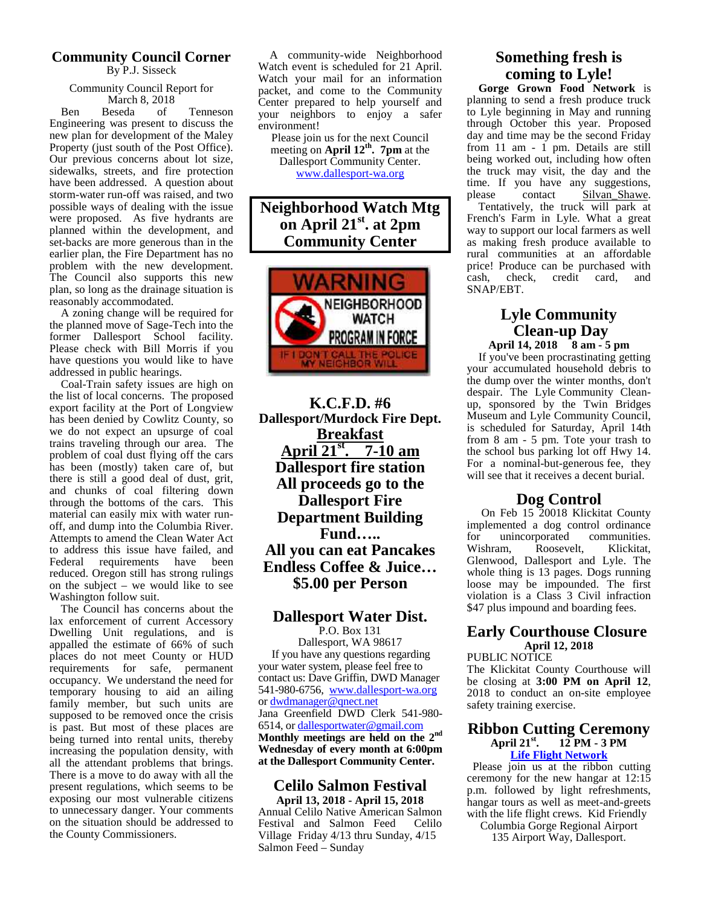#### **Community Council Corner** By P.J. Sisseck

Community Council Report for March 8, 2018<br>Beseda of

Ben Beseda of Tenneson Engineering was present to discuss the new plan for development of the Maley Property (just south of the Post Office). Our previous concerns about lot size, sidewalks, streets, and fire protection have been addressed. A question about storm-water run-off was raised, and two possible ways of dealing with the issue were proposed. As five hydrants are planned within the development, and set-backs are more generous than in the earlier plan, the Fire Department has no problem with the new development. The Council also supports this new plan, so long as the drainage situation is reasonably accommodated.

A zoning change will be required for the planned move of Sage-Tech into the former Dallesport School facility. Please check with Bill Morris if you have questions you would like to have addressed in public hearings.

Coal-Train safety issues are high on the list of local concerns. The proposed export facility at the Port of Longview has been denied by Cowlitz County, so we do not expect an upsurge of coal trains traveling through our area. The problem of coal dust flying off the cars has been (mostly) taken care of, but there is still a good deal of dust, grit, and chunks of coal filtering down through the bottoms of the cars. This material can easily mix with water run off, and dump into the Columbia River. Attempts to amend the Clean Water Act to address this issue have failed, and Federal requirements have been reduced. Oregon still has strong rulings on the subject – we would like to see Washington follow suit.

The Council has concerns about the lax enforcement of current Accessory Dwelling Unit regulations, and is appalled the estimate of 66% of such places do not meet County or HUD requirements for safe, permanent occupancy. We understand the need for temporary housing to aid an ailing family member, but such units are supposed to be removed once the crisis is past. But most of these places are being turned into rental units, thereby increasing the population density, with all the attendant problems that brings. There is a move to do away with all the present regulations, which seems to be exposing our most vulnerable citizens to unnecessary danger. Your comments on the situation should be addressed to the County Commissioners.

A community-wide Neighborhood Watch event is scheduled for 21 April. Watch your mail for an information packet, and come to the Community Center prepared to help yourself and your neighbors to enjoy a safer environment!

Please join us for the next Council meeting on **April 12th . 7pm** at the Dallesport Community Center. www.dallesport-wa.org

**Neighborhood Watch Mtg on April 21st. at 2pm Community Center**



**K.C.F.D. #6 Dallesport/Murdock Fire Dept. Breakfast April 21st. 7-10 am Dallesport fire station All proceeds go to the Dallesport Fire Department Building Fund….. All you can eat Pancakes Endless Coffee & Juice… \$5.00 per Person**

#### **Dallesport Water Dist.**

P.O. Box 131 Dallesport, WA 98617 If you have any questions regarding your water system, please feel free to contact us: Dave Griffin, DWD Manager 541-980-6756, www.dallesport-wa.org or dwdmanager@qnect.net Jana Greenfield DWD Clerk 541-980- 6514, or dallesportwater@gmail.com **Monthly meetings are held on the 2nd** Monthly meetings are held on the  $2^{\text{max}}$ <br>Wednesday of every month at 6:00pm **at the Dallesport Community Center.**

## **Celilo Salmon Festival**

**April 13, 2018 - April 15, 2018** Annual Celilo Native American Salmon Festival and Salmon Feed Celilo Village Friday 4/13 thru Sunday, 4/15 Salmon Feed – Sunday

## **Something fresh is coming to Lyle!**

**Gorge Grown Food Network** is planning to send a fresh produce truck to Lyle beginning in May and running through October this year. Proposed day and time may be the second Friday from 11 am - 1 pm. Details are still being worked out, including how often the truck may visit, the day and the time. If you have any suggestions,<br>please contact Silvan Shawe. please contact Silvan\_Shawe. Tentatively, the truck will park at French's Farm in Lyle. What a great way to support our local farmers as well as making fresh produce available to rural communities at an affordable price! Produce can be purchased with<br>cash, check, credit card, and cash, check, credit card, and SNAP/EBT.

## **Lyle Community Clean-up Day April 14, 2018 8 am - 5 pm**

If you've been procrastinating getting your accumulated household debris to the dump over the winter months, don't despair. The Lyle Community Clean up, sponsored by the Twin Bridges Museum and Lyle Community Council, is scheduled for Saturday, April 14th from 8 am - 5 pm. Tote your trash to the school bus parking lot off Hwy 14. For a nominal-but-generous fee, they will see that it receives a decent burial.

## **Dog Control**

On Feb 15 20018 Klickitat County implemented a dog control ordinance for unincorporated communities. Roosevelt, Klickitat, Glenwood, Dallesport and Lyle. The whole thing is 13 pages. Dogs running loose may be impounded. The first violation is a Class 3 Civil infraction \$47 plus impound and boarding fees.

## **Early Courthouse Closure April 12, 2018**

PUBLIC NOTICE

The Klickitat County Courthouse will be closing at **3:00 PM on April 12**, 2018 to conduct an on-site employee safety training exercise.

#### **Ribbon Cutting Ceremony April 21st. 12 PM - 3 PM Life Flight Network**

Please join us at the ribbon cutting ceremony for the new hangar at 12:15 p.m. followed by light refreshments, hangar tours as well as meet-and-greets with the life flight crews. Kid Friendly

Columbia Gorge Regional Airport 135 Airport Way, Dallesport.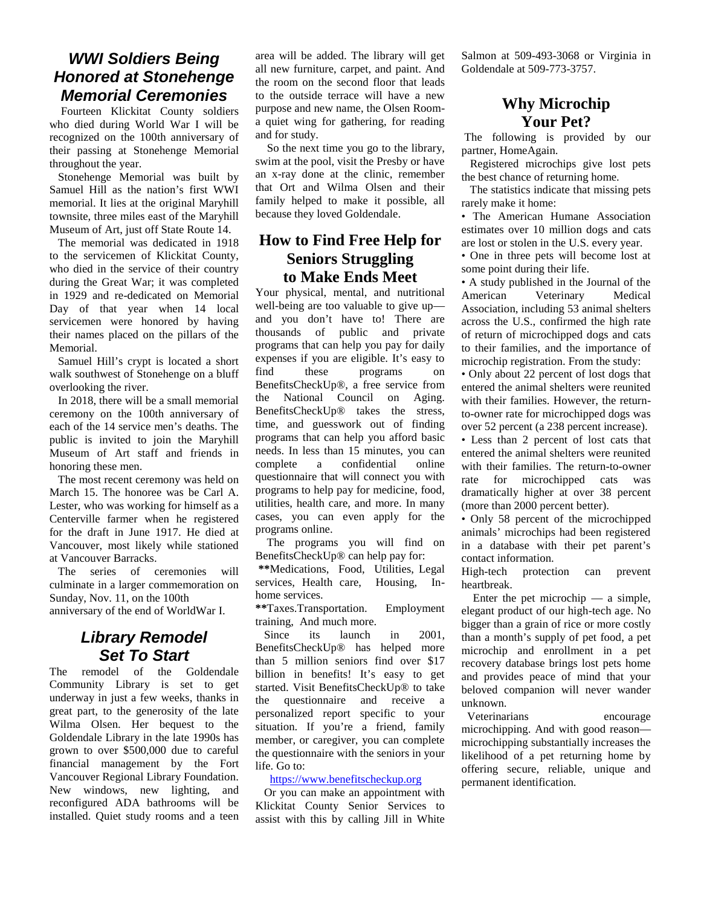## *WWI Soldiers Being Honored at Stonehenge Memorial Ceremonies*

Fourteen Klickitat County soldiers who died during World War I will be recognized on the 100th anniversary of their passing at Stonehenge Memorial throughout the year.

Stonehenge Memorial was built by Samuel Hill as the nation's first WWI memorial. It lies at the original Maryhill townsite, three miles east of the Maryhill Museum of Art, just off State Route 14.

The memorial was dedicated in 1918 to the servicemen of Klickitat County, who died in the service of their country during the Great War; it was completed in 1929 and re-dedicated on Memorial Day of that year when 14 local servicemen were honored by having their names placed on the pillars of the Memorial.

Samuel Hill's crypt is located a short expensive expensive state of Stonehenge on a bluff find walk southwest of Stonehenge on a bluff overlooking the river.

In 2018, there will be a small memorial ceremony on the 100th anniversary of each of the 14 service men's deaths. The public is invited to join the Maryhill Museum of Art staff and friends in needs. In<br>honoring these men complete honoring these men.

The most recent ceremony was held on March 15. The honoree was be Carl A. Lester, who was working for himself as a Centerville farmer when he registered for the draft in June 1917. He died at Vancouver, most likely while stationed at Vancouver Barracks.

The series of ceremonies will culminate in a larger commemoration on Sunday, Nov. 11, on the 100th anniversary of the end of WorldWar I.

## *Library Remodel Set To Start*

The remodel of the Goldendale Community Library is set to get underway in just a few weeks, thanks in great part, to the generosity of the late Wilma Olsen. Her bequest to the Goldendale Library in the late 1990s has grown to over \$500,000 due to careful financial management by the Fort Vancouver Regional Library Foundation. New windows, new lighting, and reconfigured ADA bathrooms will be installed. Quiet study rooms and a teen area will be added. The library will get all new furniture, carpet, and paint. And the room on the second floor that leads to the outside terrace will have a new purpose and new name, the Olsen Room a quiet wing for gathering, for reading and for study.

So the next time you go to the library, swim at the pool, visit the Presby or have an x-ray done at the clinic, remember that Ort and Wilma Olsen and their family helped to make it possible, all because they loved Goldendale.

## **How to Find Free Help for Seniors Struggling to Make Ends Meet**

Your physical, mental, and nutritional American well-being are too valuable to give up and you don't have to! There are thousands of public and private programs that can help you pay for daily expenses if you are eligible. It's easy to these programs on BenefitsCheckUp®, a free service from the National Council on Aging. BenefitsCheckUp® takes the stress, time, and guesswork out of finding programs that can help you afford basic needs. In less than 15 minutes, you can a confidential online questionnaire that will connect you with rate for programs to help pay for medicine, food, utilities, health care, and more. In many cases, you can even apply for the programs online.

The programs you will find on BenefitsCheckUp® can help pay for:

**\*\***Medications, Food, Utilities, Legal services, Health care, Housing, In home services.

**\*\***Taxes.Transportation. Employment training, And much more.

Since its launch in 2001. BenefitsCheckUp® has helped more than 5 million seniors find over \$17 billion in benefits! It's easy to get started. Visit BenefitsCheckUp® to take the questionnaire and receive a personalized report specific to your situation. If you're a friend, family member, or caregiver, you can complete the questionnaire with the seniors in your life. Go to:

#### https://www.benefitscheckup.org

Or you can make an appointment with Klickitat County Senior Services to assist with this by calling Jill in White Salmon at 509-493-3068 or Virginia in Goldendale at 509-773-3757.

## **Why Microchip Your Pet?**

 The following is provided by our partner, HomeAgain.

 Registered microchips give lost pets the best chance of returning home.

 The statistics indicate that missing pets rarely make it home:

• The American Humane Association estimates over 10 million dogs and cats are lost or stolen in the U.S. every year.

• One in three pets will become lost at some point during their life.

• A study published in the Journal of the Veterinary Medical Association, including 53 animal shelters across the U.S., confirmed the high rate of return of microchipped dogs and cats to their families, and the importance of microchip registration. From the study:

• Only about 22 percent of lost dogs that entered the animal shelters were reunited with their families. However, the returnto-owner rate for microchipped dogs was over 52 percent (a 238 percent increase).

• Less than 2 percent of lost cats that entered the animal shelters were reunited with their families. The return-to-owner microchipped cats was dramatically higher at over 38 percent (more than 2000 percent better).

• Only 58 percent of the microchipped animals' microchips had been registered in a database with their pet parent's contact information.

protection can prevent heartbreak.

Enter the pet microchip  $-$  a simple, elegant product of our high-tech age. No bigger than a grain of rice or more costly than a month's supply of pet food, a pet microchip and enrollment in a pet recovery database brings lost pets home and provides peace of mind that your beloved companion will never wander unknown.

 Veterinarians encourage microchipping. And with good reason microchipping substantially increases the likelihood of a pet returning home by offering secure, reliable, unique and permanent identification.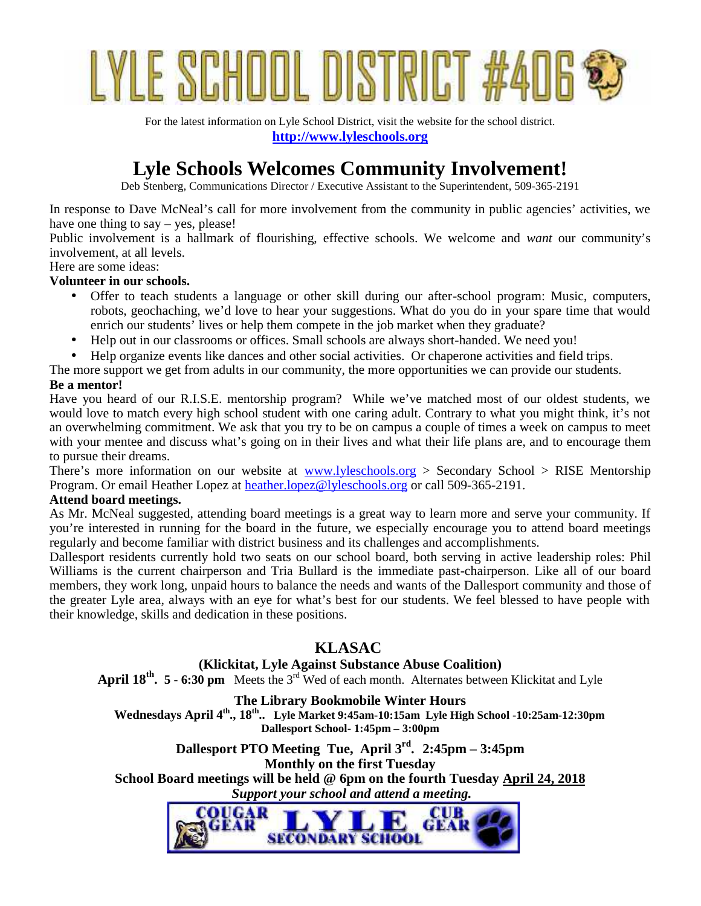# YLE SCHOOL DISTRIC

For the latest information on Lyle School District, visit the website for the school district. **http://www.lyleschools.org**

## **Lyle Schools Welcomes Community Involvement!**

Deb Stenberg, Communications Director / Executive Assistant to the Superintendent, 509-365-2191

In response to Dave McNeal's call for more involvement from the community in public agencies' activities, we have one thing to say – yes, please!

Public involvement is a hallmark of flourishing, effective schools. We welcome and *want* our community's involvement, at all levels.

## Here are some ideas:

## **Volunteer in our schools.**

- Offer to teach students a language or other skill during our after-school program: Music, computers, robots, geochaching, we'd love to hear your suggestions. What do you do in your spare time that would enrich our students' lives or help them compete in the job market when they graduate?
- Help out in our classrooms or offices. Small schools are always short-handed. We need you!
- Help organize events like dances and other social activities. Or chaperone activities and field trips.
- The more support we get from adults in our community, the more opportunities we can provide our students.

## **Be a mentor!**

Have you heard of our R.I.S.E. mentorship program? While we've matched most of our oldest students, we would love to match every high school student with one caring adult. Contrary to what you might think, it's not an overwhelming commitment. We ask that you try to be on campus a couple of times a week on campus to meet with your mentee and discuss what's going on in their lives and what their life plans are, and to encourage them to pursue their dreams.

There's more information on our website at www.lyleschools.org > Secondary School > RISE Mentorship Program. Or email Heather Lopez at heather.lopez@lyleschools.org or call 509-365-2191.

## **Attend board meetings.**

As Mr. McNeal suggested, attending board meetings is a great way to learn more and serve your community. If you're interested in running for the board in the future, we especially encourage you to attend board meetings regularly and become familiar with district business and its challenges and accomplishments.

Dallesport residents currently hold two seats on our school board, both serving in active leadership roles: Phil Williams is the current chairperson and Tria Bullard is the immediate past-chairperson. Like all of our board members, they work long, unpaid hours to balance the needs and wants of the Dallesport community and those of the greater Lyle area, always with an eye for what's best for our students. We feel blessed to have people with their knowledge, skills and dedication in these positions.

## **KLASAC**

## **(Klickitat, Lyle Against Substance Abuse Coalition)**

**April 18th . 5 - 6:30 pm** Meets the 3rd Wed of each month. Alternates between Klickitat and Lyle

## **The Library Bookmobile Winter Hours**

**Wednesdays April 4 th ., 18th .. Lyle Market 9:45am-10:15am Lyle High School -10:25am-12:30pm Dallesport School- 1:45pm – 3:00pm**

## **Dallesport PTO Meeting Tue, April 3rd . 2:45pm – 3:45pm Monthly on the first Tuesday**

**School Board meetings will be held @ 6pm on the fourth Tuesday April 24, 2018**

 *Support your school and attend a meeting.*

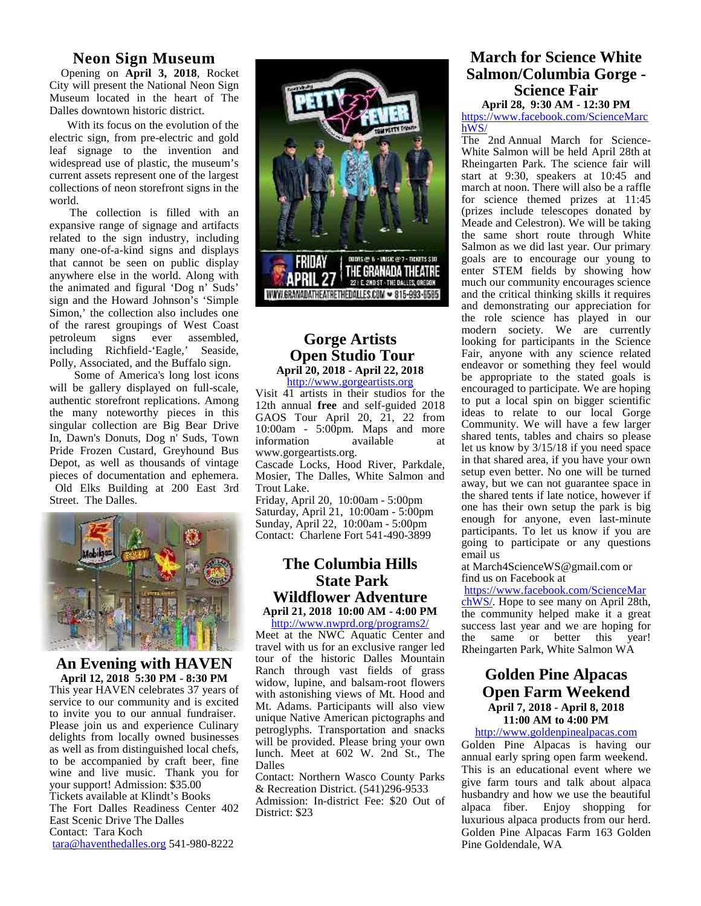## **Neon Sign Museum**

Opening on **April 3, 2018**, Rocket City will present the National Neon Sign Museum located in the heart of The Dalles downtown historic district.

With its focus on the evolution of the electric sign, from pre-electric and gold leaf signage to the invention and widespread use of plastic, the museum's current assets represent one of the largest collections of neon storefront signs in the world.

The collection is filled with an expansive range of signage and artifacts related to the sign industry, including many one-of-a-kind signs and displays that cannot be seen on public display anywhere else in the world. Along with the animated and figural 'Dog n' Suds' WWW.GRANADATHEATRETHEDALLES.COM = 815-993-6585 sign and the Howard Johnson's 'Simple Simon,' the collection also includes one of the rarest groupings of West Coast petroleum signs ever assembled, including Richfield-'Eagle,' Seaside, Polly, Associated, and the Buffalo sign.

Some of America's long lost icons will be gallery displayed on full-scale, authentic storefront replications. Among the many noteworthy pieces in this singular collection are Big Bear Drive In, Dawn's Donuts, Dog n' Suds, Town Pride Frozen Custard, Greyhound Bus Depot, as well as thousands of vintage pieces of documentation and ephemera. Old Elks Building at 200 East 3rd Street. The Dalles.



#### **An Evening with HAVEN April 12, 2018 5:30 PM - 8:30 PM**

This year HAVEN celebrates 37 years of service to our community and is excited to invite you to our annual fundraiser. Please join us and experience Culinary delights from locally owned businesses as well as from distinguished local chefs, to be accompanied by craft beer, fine  $\frac{1}{\text{Ball}}$ wine and live music. Thank you for  $C_0$ your support! Admission: \$35.00 Tickets available at Klindt's Books The Fort Dalles Readiness Center 402 East Scenic Drive The Dalles Contact: Tara Koch tara@haventhedalles.org 541-980-8222



## **Gorge Artists Open Studio Tour April 20, 2018 - April 22, 2018**

http://www.gorgeartists.org Visit 41 artists in their studios for the 12th annual **free** and self-guided 2018 GAOS Tour April 20, 21, 22 from 10:00am - 5:00pm. Maps and more<br>information available at information available at www.gorgeartists.org. Cascade Locks, Hood River, Parkdale, Mosier, The Dalles, White Salmon and Trout Lake. Friday, April 20, 10:00am - 5:00pm Saturday, April 21, 10:00am - 5:00pm

Sunday, April 22, 10:00am - 5:00pm Contact: Charlene Fort 541-490-3899

#### **The Columbia Hills State Park Wildflower Adventure April 21, 2018 10:00 AM - 4:00 PM** http://www.nwprd.org/programs2/

Meet at the NWC Aquatic Center and travel with us for an exclusive ranger led tour of the historic Dalles Mountain Ranch through vast fields of grass widow, lupine, and balsam-root flowers with astonishing views of Mt. Hood and Mt. Adams. Participants will also view unique Native American pictographs and petroglyphs. Transportation and snacks will be provided. Please bring your own lunch. Meet at 602 W. 2nd St., The Dalles

Contact: Northern Wasco County Parks & Recreation District. (541)296-9533 Admission: In-district Fee: \$20 Out of District: \$23

## **March for Science White Salmon/Columbia Gorge - Science Fair**

**April 28, 9:30 AM - 12:30 PM** https://www.facebook.com/ScienceMarc hWS/

The 2nd Annual March for Science- White Salmon will be held April 28th at Rheingarten Park. The science fair will start at 9:30, speakers at 10:45 and march at noon. There will also be a raffle for science themed prizes at 11:45 (prizes include telescopes donated by Meade and Celestron). We will be taking the same short route through White Salmon as we did last year. Our primary goals are to encourage our young to enter STEM fields by showing how much our community encourages science and the critical thinking skills it requires and demonstrating our appreciation for the role science has played in our modern society. We are currently looking for participants in the Science Fair, anyone with any science related endeavor or something they feel would be appropriate to the stated goals is encouraged to participate. We are hoping to put a local spin on bigger scientific ideas to relate to our local Gorge Community. We will have a few larger shared tents, tables and chairs so please let us know by 3/15/18 if you need space in that shared area, if you have your own setup even better. No one will be turned away, but we can not guarantee space in the shared tents if late notice, however if one has their own setup the park is big enough for anyone, even last-minute participants. To let us know if you are going to participate or any questions email us

at March4ScienceWS@gmail.com or find us on Facebook at

https://www.facebook.com/ScienceMar chWS/. Hope to see many on April 28th, the community helped make it a great success last year and we are hoping for the same or better this year! Rheingarten Park, White Salmon WA

## **Golden Pine Alpacas Open Farm Weekend April 7, 2018 - April 8, 2018 11:00 AM to 4:00 PM**

http://www.goldenpinealpacas.com Golden Pine Alpacas is having our annual early spring open farm weekend. This is an educational event where we give farm tours and talk about alpaca husbandry and how we use the beautiful alpaca fiber. Enjoy shopping for luxurious alpaca products from our herd. Golden Pine Alpacas Farm 163 Golden Pine Goldendale, WA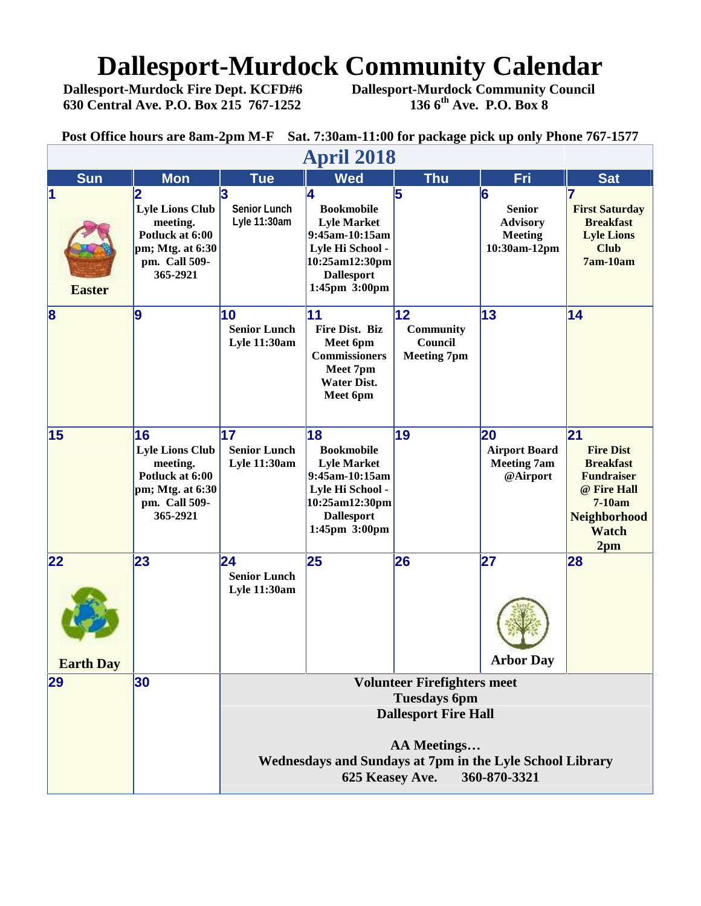## **Dallesport-Murdock Community Calendar**<br>Dallesport-Murdock Fire Dept. KCFD#6 Dallesport-Murdock Community Council

 **Dallesport-Murdock Fire Dept. KCFD#6 Dallesport-Murdock Community Council 630 Central Ave. P.O. Box 215 767-1252 136 6th Ave. P.O. Box 8**

**Post Office hours are 8am-2pm M-F Sat. 7:30am-11:00 for package pick up only Phone 767-1577**

|                        |                                                                                                                |                                                                                                                   | <b>April 2018</b>                                                                                                                           |                                                                   |                                                                         |                                                                                                                                                               |  |  |
|------------------------|----------------------------------------------------------------------------------------------------------------|-------------------------------------------------------------------------------------------------------------------|---------------------------------------------------------------------------------------------------------------------------------------------|-------------------------------------------------------------------|-------------------------------------------------------------------------|---------------------------------------------------------------------------------------------------------------------------------------------------------------|--|--|
| <b>Sun</b>             | <b>Mon</b>                                                                                                     | <b>Tue</b>                                                                                                        | <b>Wed</b>                                                                                                                                  | <b>Thu</b>                                                        | Fri                                                                     | <b>Sat</b>                                                                                                                                                    |  |  |
| <b>Easter</b>          | 2<br><b>Lyle Lions Club</b><br>meeting.<br>Potluck at 6:00<br>pm; Mtg. at 6:30<br>pm. Call 509-<br>365-2921    | 13<br><b>Senior Lunch</b><br><b>Lyle 11:30am</b>                                                                  | 4<br><b>Bookmobile</b><br><b>Lyle Market</b><br>9:45am-10:15am<br>Lyle Hi School -<br>10:25am12:30pm<br><b>Dallesport</b><br>1:45pm 3:00pm  | 5                                                                 | 6<br><b>Senior</b><br><b>Advisory</b><br><b>Meeting</b><br>10:30am-12pm | <b>First Saturday</b><br><b>Breakfast</b><br><b>Lyle Lions</b><br><b>Club</b><br>$7am-10am$                                                                   |  |  |
| 8                      | 9                                                                                                              | 10<br><b>Senior Lunch</b><br><b>Lyle 11:30am</b>                                                                  | 11<br>Fire Dist. Biz<br>Meet 6pm<br><b>Commissioners</b><br>Meet 7pm<br><b>Water Dist.</b><br>Meet 6pm                                      | $ 12\rangle$<br><b>Community</b><br>Council<br><b>Meeting 7pm</b> | 13                                                                      | 14                                                                                                                                                            |  |  |
| 15                     | 16<br><b>Lyle Lions Club</b><br>meeting.<br>Potluck at 6:00<br>$pm; Mtg.$ at 6:30<br>pm. Call 509-<br>365-2921 | 17<br><b>Senior Lunch</b><br><b>Lyle 11:30am</b>                                                                  | 18<br><b>Bookmobile</b><br><b>Lyle Market</b><br>9:45am-10:15am<br>Lyle Hi School -<br>10:25am12:30pm<br><b>Dallesport</b><br>1:45pm 3:00pm | 19                                                                | 20<br><b>Airport Board</b><br><b>Meeting 7am</b><br>@Airport            | $\mathbf{21}$<br><b>Fire Dist</b><br><b>Breakfast</b><br><b>Fundraiser</b><br>@ Fire Hall<br>7-10am<br><b>Neighborhood</b><br><b>Watch</b><br>2 <sub>pm</sub> |  |  |
| 22<br><b>Earth Day</b> | 23                                                                                                             | 24<br><b>Senior Lunch</b><br><b>Lyle 11:30am</b>                                                                  | 25                                                                                                                                          | 26                                                                | 27<br><b>Arbor Day</b>                                                  | 28                                                                                                                                                            |  |  |
| 29                     | 30                                                                                                             | <b>Volunteer Firefighters meet</b><br><b>Tuesdays 6pm</b><br><b>Dallesport Fire Hall</b>                          |                                                                                                                                             |                                                                   |                                                                         |                                                                                                                                                               |  |  |
|                        |                                                                                                                | <b>AA Meetings</b><br>Wednesdays and Sundays at 7pm in the Lyle School Library<br>625 Keasey Ave.<br>360-870-3321 |                                                                                                                                             |                                                                   |                                                                         |                                                                                                                                                               |  |  |